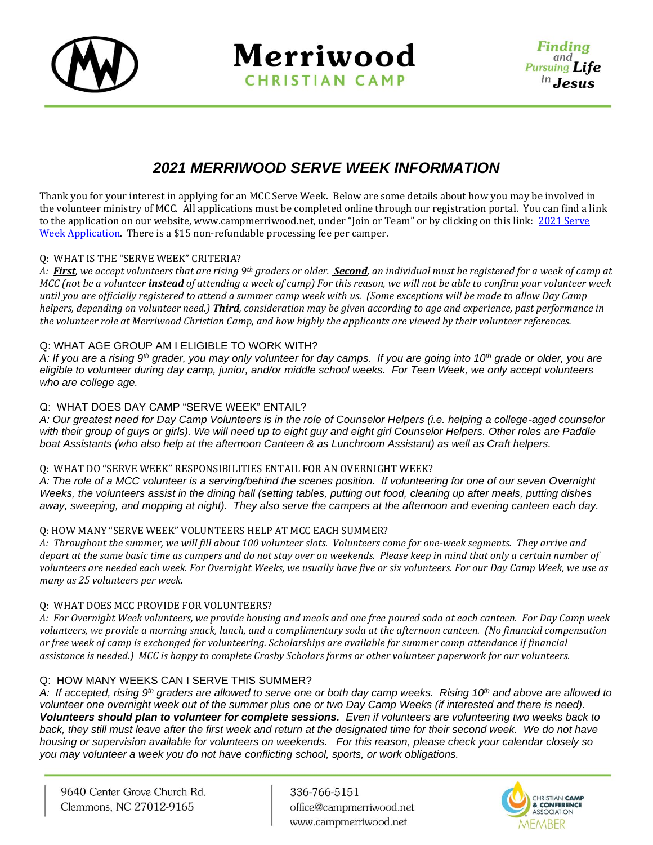

Merriwood **CHRISTIAN CAMP** 

# *2021 MERRIWOOD SERVE WEEK INFORMATION*

Thank you for your interest in applying for an MCC Serve Week. Below are some details about how you may be involved in the volunteer ministry of MCC. All applications must be completed online through our registration portal. You can find a link to the application on our website, [www.campmerriwood.net](http://www.campmerriwood.net/), under "Join or Team" or by clicking on this link: 2021 Serve [Week Application.](http://www.ultracamp.com/info/sessiondetail.aspx?idCamp=325&campCode=MC1&idSession=286441) There is a \$15 non-refundable processing fee per camper.

# Q: WHAT IS THE "SERVE WEEK" CRITERIA?

*A: First, we accept volunteers that are rising 9th graders or older. Second, an individual must be registered for a week of camp at MCC (not be a volunteer instead of attending a week of camp) For this reason, we will not be able to confirm your volunteer week until you are officially registered to attend a summer camp week with us. (Some exceptions will be made to allow Day Camp helpers, depending on volunteer need.) Third, consideration may be given according to age and experience, past performance in the volunteer role at Merriwood Christian Camp, and how highly the applicants are viewed by their volunteer references.* 

# Q: WHAT AGE GROUP AM I ELIGIBLE TO WORK WITH?

*A: If you are a rising 9th grader, you may only volunteer for day camps. If you are going into 10th grade or older, you are eligible to volunteer during day camp, junior, and/or middle school weeks. For Teen Week, we only accept volunteers who are college age.*

# Q: WHAT DOES DAY CAMP "SERVE WEEK" ENTAIL?

*A: Our greatest need for Day Camp Volunteers is in the role of Counselor Helpers (i.e. helping a college-aged counselor with their group of guys or girls). We will need up to eight guy and eight girl Counselor Helpers. Other roles are Paddle boat Assistants (who also help at the afternoon Canteen & as Lunchroom Assistant) as well as Craft helpers.*

# Q: WHAT DO "SERVE WEEK" RESPONSIBILITIES ENTAIL FOR AN OVERNIGHT WEEK?

*A: The role of a MCC volunteer is a serving/behind the scenes position. If volunteering for one of our seven Overnight Weeks, the volunteers assist in the dining hall (setting tables, putting out food, cleaning up after meals, putting dishes away, sweeping, and mopping at night). They also serve the campers at the afternoon and evening canteen each day.* 

# Q: HOW MANY "SERVE WEEK" VOLUNTEERS HELP AT MCC EACH SUMMER?

*A: Throughout the summer, we will fill about 100 volunteer slots. Volunteers come for one-week segments. They arrive and depart at the same basic time as campers and do not stay over on weekends. Please keep in mind that only a certain number of volunteers are needed each week. For Overnight Weeks, we usually have five or six volunteers. For our Day Camp Week, we use as many as 25 volunteers per week.*

# Q: WHAT DOES MCC PROVIDE FOR VOLUNTEERS?

*A: For Overnight Week volunteers, we provide housing and meals and one free poured soda at each canteen. For Day Camp week volunteers, we provide a morning snack, lunch, and a complimentary soda at the afternoon canteen. (No financial compensation or free week of camp is exchanged for volunteering. Scholarships are available for summer camp attendance if financial assistance is needed.) MCC is happy to complete Crosby Scholars forms or other volunteer paperwork for our volunteers.*

# Q: HOW MANY WEEKS CAN I SERVE THIS SUMMER?

*A: If accepted, rising 9th graders are allowed to serve one or both day camp weeks. Rising 10th and above are allowed to volunteer one overnight week out of the summer plus one or two Day Camp Weeks (if interested and there is need). Volunteers should plan to volunteer for complete sessions. Even if volunteers are volunteering two weeks back to*  back, they still must leave after the first week and return at the designated time for their second week. We do not have *housing or supervision available for volunteers on weekends. For this reason, please check your calendar closely so you may volunteer a week you do not have conflicting school, sports, or work obligations.*

9640 Center Grove Church Rd. Clemmons, NC 27012-9165

336-766-5151 office@campmerriwood.net www.campmerriwood.net